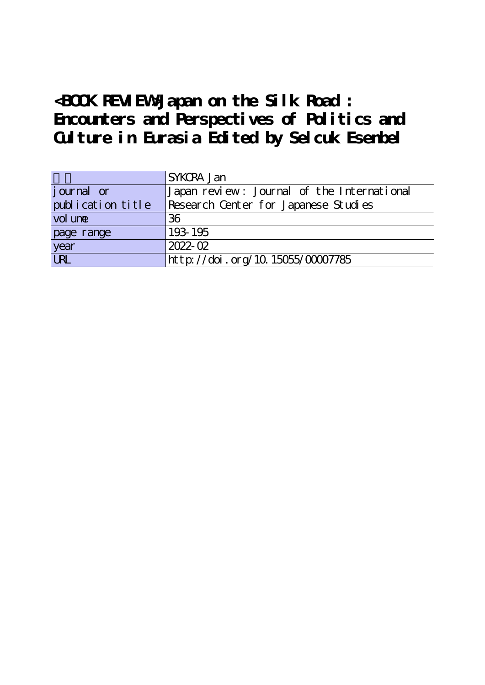## **<BOOK REVIEW>Japan on the Silk Road : Encounters and Perspectives of Politics and Culture in Eurasia Edited by Selcuk Esenbel**

|                   | SYKCRA Jan                                 |
|-------------------|--------------------------------------------|
| journal or        | Japan review: Journal of the International |
| publication title | Research Center for Japanese Studies       |
| vol une           | 36                                         |
| page range        | 193-195                                    |
| year              | $2022 - 02$                                |
| URL               | http://doi.org/10.15055/00007785           |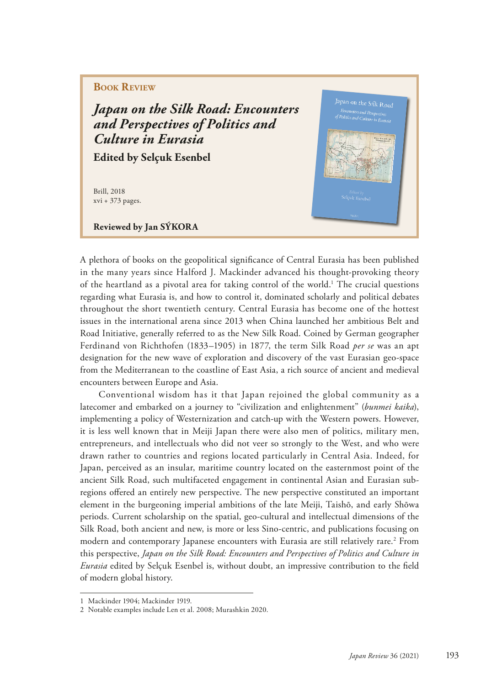## **Book Review**

*Japan on the Silk Road: Encounters and Perspectives of Politics and Culture in Eurasia*

**Edited by Selçuk Esenbel**

Brill, 2018 xvi + 373 pages.

**Reviewed by Jan SÝKORA** 



A plethora of books on the geopolitical signifcance of Central Eurasia has been published in the many years since Halford J. Mackinder advanced his thought-provoking theory of the heartland as a pivotal area for taking control of the world.<sup>1</sup> The crucial questions regarding what Eurasia is, and how to control it, dominated scholarly and political debates throughout the short twentieth century. Central Eurasia has become one of the hottest issues in the international arena since 2013 when China launched her ambitious Belt and Road Initiative, generally referred to as the New Silk Road. Coined by German geographer Ferdinand von Richthofen (1833–1905) in 1877, the term Silk Road *per se* was an apt designation for the new wave of exploration and discovery of the vast Eurasian geo-space from the Mediterranean to the coastline of East Asia, a rich source of ancient and medieval encounters between Europe and Asia.

Conventional wisdom has it that Japan rejoined the global community as a latecomer and embarked on a journey to "civilization and enlightenment" (*bunmei kaika*), implementing a policy of Westernization and catch-up with the Western powers. However, it is less well known that in Meiji Japan there were also men of politics, military men, entrepreneurs, and intellectuals who did not veer so strongly to the West, and who were drawn rather to countries and regions located particularly in Central Asia. Indeed, for Japan, perceived as an insular, maritime country located on the easternmost point of the ancient Silk Road, such multifaceted engagement in continental Asian and Eurasian subregions ofered an entirely new perspective. The new perspective constituted an important element in the burgeoning imperial ambitions of the late Meiji, Taishō, and early Shōwa periods. Current scholarship on the spatial, geo-cultural and intellectual dimensions of the Silk Road, both ancient and new, is more or less Sino-centric, and publications focusing on modern and contemporary Japanese encounters with Eurasia are still relatively rare.2 From this perspective, *Japan on the Silk Road: Encounters and Perspectives of Politics and Culture in Eurasia* edited by Selçuk Esenbel is, without doubt, an impressive contribution to the feld of modern global history.

<sup>1</sup> Mackinder 1904; Mackinder 1919.

<sup>2</sup> Notable examples include Len et al. 2008; Murashkin 2020.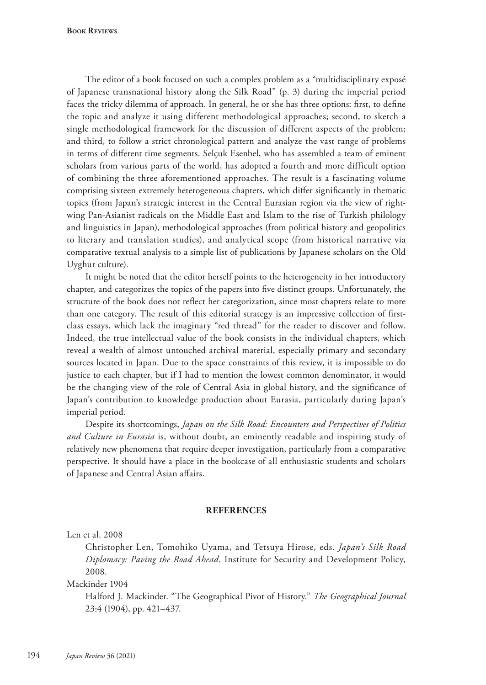The editor of a book focused on such a complex problem as a "multidisciplinary exposé of Japanese transnational history along the Silk Road" (p. 3) during the imperial period faces the tricky dilemma of approach. In general, he or she has three options: frst, to defne the topic and analyze it using different methodological approaches; second, to sketch a single methodological framework for the discussion of different aspects of the problem; and third, to follow a strict chronological pattern and analyze the vast range of problems in terms of diferent time segments. Selçuk Esenbel, who has assembled a team of eminent scholars from various parts of the world, has adopted a fourth and more difficult option of combining the three aforementioned approaches. The result is a fascinating volume comprising sixteen extremely heterogeneous chapters, which difer signifcantly in thematic topics (from Japan's strategic interest in the Central Eurasian region via the view of rightwing Pan-Asianist radicals on the Middle East and Islam to the rise of Turkish philology and linguistics in Japan), methodological approaches (from political history and geopolitics to literary and translation studies), and analytical scope (from historical narrative via comparative textual analysis to a simple list of publications by Japanese scholars on the Old Uyghur culture).

It might be noted that the editor herself points to the heterogeneity in her introductory chapter, and categorizes the topics of the papers into fve distinct groups. Unfortunately, the structure of the book does not refect her categorization, since most chapters relate to more than one category. The result of this editorial strategy is an impressive collection of frstclass essays, which lack the imaginary "red thread" for the reader to discover and follow. Indeed, the true intellectual value of the book consists in the individual chapters, which reveal a wealth of almost untouched archival material, especially primary and secondary sources located in Japan. Due to the space constraints of this review, it is impossible to do justice to each chapter, but if I had to mention the lowest common denominator, it would be the changing view of the role of Central Asia in global history, and the signifcance of Japan's contribution to knowledge production about Eurasia, particularly during Japan's imperial period.

Despite its shortcomings, *Japan on the Silk Road: Encounters and Perspectives of Politics and Culture in Eurasia* is, without doubt, an eminently readable and inspiring study of relatively new phenomena that require deeper investigation, particularly from a comparative perspective. It should have a place in the bookcase of all enthusiastic students and scholars of Japanese and Central Asian afairs.

## **REFERENCES**

Len et al. 2008

Christopher Len, Tomohiko Uyama, and Tetsuya Hirose, eds. *Japan's Silk Road Diplomacy: Paving the Road Ahead*. Institute for Security and Development Policy, 2008.

Mackinder 1904

Halford J. Mackinder. "The Geographical Pivot of History." *The Geographical Journal* 23:4 (1904), pp. 421–437.